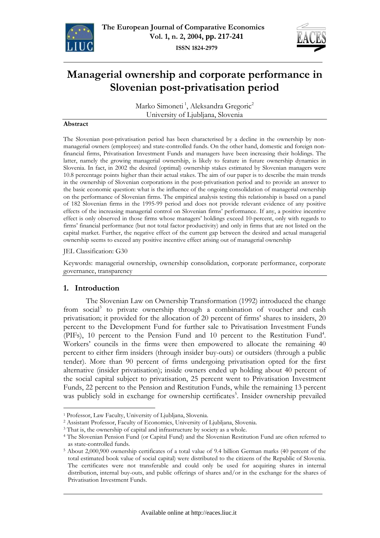



# **Managerial ownership and corporate performance in Slovenian post-privatisation period**

Marko Simoneti<sup>1</sup>, Aleksandra Gregoric<sup>2</sup> University of Ljubljana, Slovenia

#### **Abstract**

The Slovenian post-privatisation period has been characterised by a decline in the ownership by nonmanagerial owners (employees) and state-controlled funds. On the other hand, domestic and foreign nonfinancial firms, Privatisation Investment Funds and managers have been increasing their holdings. The latter, namely the growing managerial ownership, is likely to feature in future ownership dynamics in Slovenia. In fact, in 2002 the desired (optimal) ownership stakes estimated by Slovenian managers were 10.8 percentage points higher than their actual stakes. The aim of our paper is to describe the main trends in the ownership of Slovenian corporations in the post-privatisation period and to provide an answer to the basic economic question: what is the influence of the ongoing consolidation of managerial ownership on the performance of Slovenian firms. The empirical analysis testing this relationship is based on a panel of 182 Slovenian firms in the 1995-99 period and does not provide relevant evidence of any positive effects of the increasing managerial control on Slovenian firms' performance. If any, a positive incentive effect is only observed in those firms whose managers' holdings exceed 10-percent, only with regards to firms' financial performance (but not total factor productivity) and only in firms that are not listed on the capital market. Further, the negative effect of the current gap between the desired and actual managerial ownership seems to exceed any positive incentive effect arising out of managerial ownership

#### JEL Classification: G30

Keywords: managerial ownership, ownership consolidation, corporate performance, corporate governance, transparency

#### **1. Introduction**

 $\overline{a}$ 

The Slovenian Law on Ownership Transformation (1992) introduced the change from social<sup>3</sup> to private ownership through a combination of voucher and cash privatisation; it provided for the allocation of 20 percent of firms' shares to insiders, 20 percent to the Development Fund for further sale to Privatisation Investment Funds (PIFs), 10 percent to the Pension Fund and 10 percent to the Restitution Fund<sup>4</sup>. Workers' councils in the firms were then empowered to allocate the remaining 40 percent to either firm insiders (through insider buy-outs) or outsiders (through a public tender). More than 90 percent of firms undergoing privatisation opted for the first alternative (insider privatisation); inside owners ended up holding about 40 percent of the social capital subject to privatisation, 25 percent went to Privatisation Investment Funds, 22 percent to the Pension and Restitution Funds, while the remaining 13 percent was publicly sold in exchange for ownership certificates<sup>5</sup>. Insider ownership prevailed

<sup>1</sup> Professor, Law Faculty, University of Ljubljana, Slovenia.

<sup>&</sup>lt;sup>2</sup> Assistant Professor, Faculty of Economics, University of Ljubljana, Slovenia.<br><sup>3</sup> That is, the ownership of capital and infrastructure by society as a whole.<br><sup>4</sup> The Slovenian Pension Fund (or Capital Fund) and the Slo as state-controlled funds.

<sup>5</sup> About 2,000,900 ownership certificates of a total value of 9.4 billion German marks (40 percent of the total estimated book value of social capital) were distributed to the citizens of the Republic of Slovenia. The certificates were not transferable and could only be used for acquiring shares in internal distribution, internal buy-outs, and public offerings of shares and/or in the exchange for the shares of Privatisation Investment Funds.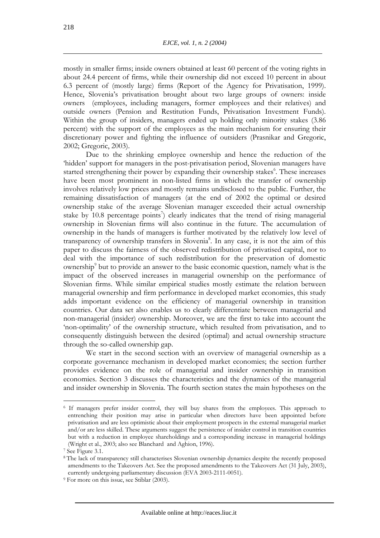mostly in smaller firms; inside owners obtained at least 60 percent of the voting rights in about 24.4 percent of firms, while their ownership did not exceed 10 percent in about 6.3 percent of (mostly large) firms (Report of the Agency for Privatisation, 1999). Hence, Slovenia's privatisation brought about two large groups of owners: inside owners (employees, including managers, former employees and their relatives) and outside owners (Pension and Restitution Funds, Privatisation Investment Funds). Within the group of insiders, managers ended up holding only minority stakes (3.86 percent) with the support of the employees as the main mechanism for ensuring their discretionary power and fighting the influence of outsiders (Prasnikar and Gregoric, 2002; Gregoric, 2003).

Due to the shrinking employee ownership and hence the reduction of the 'hidden' support for managers in the post-privatisation period, Slovenian managers have started strengthening their power by expanding their ownership stakes<sup>6</sup>. These increases have been most prominent in non-listed firms in which the transfer of ownership involves relatively low prices and mostly remains undisclosed to the public. Further, the remaining dissatisfaction of managers (at the end of 2002 the optimal or desired ownership stake of the average Slovenian manager exceeded their actual ownership stake by 10.8 percentage points<sup>7</sup>) clearly indicates that the trend of rising managerial ownership in Slovenian firms will also continue in the future. The accumulation of ownership in the hands of managers is further motivated by the relatively low level of transparency of ownership transfers in Slovenia<sup>8</sup>. In any case, it is not the aim of this paper to discuss the fairness of the observed redistribution of privatised capital, nor to deal with the importance of such redistribution for the preservation of domestic ownership<sup>9</sup> but to provide an answer to the basic economic question, namely what is the impact of the observed increases in managerial ownership on the performance of Slovenian firms. While similar empirical studies mostly estimate the relation between managerial ownership and firm performance in developed market economies, this study adds important evidence on the efficiency of managerial ownership in transition countries. Our data set also enables us to clearly differentiate between managerial and non-managerial (insider) ownership. Moreover, we are the first to take into account the 'non-optimality' of the ownership structure, which resulted from privatisation, and to consequently distinguish between the desired (optimal) and actual ownership structure through the so-called ownership gap.

We start in the second section with an overview of managerial ownership as a corporate governance mechanism in developed market economies; the section further provides evidence on the role of managerial and insider ownership in transition economies. Section 3 discusses the characteristics and the dynamics of the managerial and insider ownership in Slovenia. The fourth section states the main hypotheses on the

<sup>6</sup> If managers prefer insider control, they will buy shares from the employees. This approach to entrenching their position may arise in particular when directors have been appointed before privatisation and are less optimistic about their employment prospects in the external managerial market and/or are less skilled. These arguments suggest the persistence of insider control in transition countries but with a reduction in employee shareholdings and a corresponding increase in managerial holdings (Wright et al., 2003; also see Blanchard and Aghion, 1996).

<sup>7</sup> See Figure 3.1.

<sup>8</sup> The lack of transparency still characterises Slovenian ownership dynamics despite the recently proposed amendments to the Takeovers Act. See the proposed amendments to the Takeovers Act (31 July, 2003), currently undergoing parliamentary discussion (EVA 2003-2111-0051). 9 For more on this issue, see Stiblar (2003).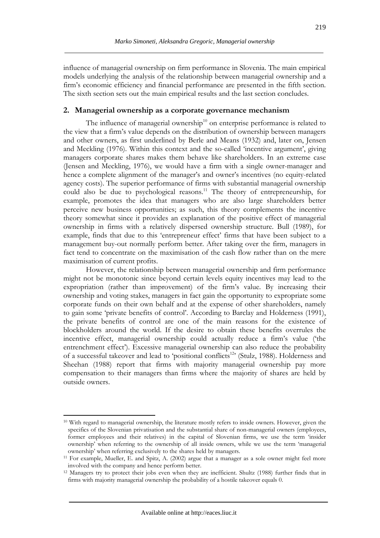219

influence of managerial ownership on firm performance in Slovenia. The main empirical models underlying the analysis of the relationship between managerial ownership and a firm's economic efficiency and financial performance are presented in the fifth section. The sixth section sets out the main empirical results and the last section concludes.

## **2. Managerial ownership as a corporate governance mechanism**

The influence of managerial ownership $10$  on enterprise performance is related to the view that a firm's value depends on the distribution of ownership between managers and other owners, as first underlined by Berle and Means (1932) and, later on, Jensen and Meckling (1976). Within this context and the so-called 'incentive argument', giving managers corporate shares makes them behave like shareholders. In an extreme case (Jensen and Meckling, 1976), we would have a firm with a single owner-manager and hence a complete alignment of the manager's and owner's incentives (no equity-related agency costs). The superior performance of firms with substantial managerial ownership could also be due to psychological reasons.<sup>11</sup> The theory of entrepreneurship, for example, promotes the idea that managers who are also large shareholders better perceive new business opportunities; as such, this theory complements the incentive theory somewhat since it provides an explanation of the positive effect of managerial ownership in firms with a relatively dispersed ownership structure. Bull (1989), for example, finds that due to this 'entrepreneur effect' firms that have been subject to a management buy-out normally perform better. After taking over the firm, managers in fact tend to concentrate on the maximisation of the cash flow rather than on the mere maximisation of current profits.

However, the relationship between managerial ownership and firm performance might not be monotonic since beyond certain levels equity incentives may lead to the expropriation (rather than improvement) of the firm's value. By increasing their ownership and voting stakes, managers in fact gain the opportunity to expropriate some corporate funds on their own behalf and at the expense of other shareholders, namely to gain some 'private benefits of control'. According to Barclay and Holderness (1991), the private benefits of control are one of the main reasons for the existence of blockholders around the world. If the desire to obtain these benefits overrules the incentive effect, managerial ownership could actually reduce a firm's value ('the entrenchment effect'). Excessive managerial ownership can also reduce the probability of a successful takeover and lead to 'positional conflicts<sup>12</sup>' (Stulz, 1988). Holderness and Sheehan (1988) report that firms with majority managerial ownership pay more compensation to their managers than firms where the majority of shares are held by outside owners.

<sup>&</sup>lt;sup>10</sup> With regard to managerial ownership, the literature mostly refers to inside owners. However, given the specifics of the Slovenian privatisation and the substantial share of non-managerial owners (employees, former employees and their relatives) in the capital of Slovenian firms, we use the term 'insider ownership' when referring to the ownership of all inside owners, while we use the term 'managerial

ownership' when referring exclusively to the shares held by managers. 11 For example, Mueller, E. and Spitz, A. (2002) argue that a manager as a sole owner might feel more involved with the company and hence perform better.

<sup>&</sup>lt;sup>12</sup> Managers try to protect their jobs even when they are inefficient. Shultz (1988) further finds that in firms with majority managerial ownership the probability of a hostile takeover equals 0.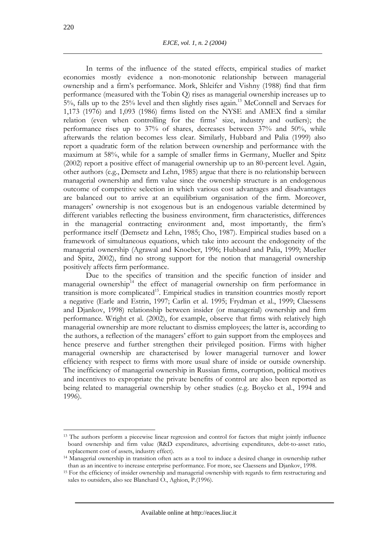In terms of the influence of the stated effects, empirical studies of market economies mostly evidence a non-monotonic relationship between managerial ownership and a firm's performance. Mork, Shleifer and Vishny (1988) find that firm performance (measured with the Tobin Q) rises as managerial ownership increases up to 5%, falls up to the 25% level and then slightly rises again.13 McConnell and Servaes for 1,173 (1976) and 1,093 (1986) firms listed on the NYSE and AMEX find a similar relation (even when controlling for the firms' size, industry and outliers); the performance rises up to 37% of shares, decreases between 37% and 50%, while afterwards the relation becomes less clear. Similarly, Hubbard and Palia (1999) also report a quadratic form of the relation between ownership and performance with the maximum at 58%, while for a sample of smaller firms in Germany, Mueller and Spitz (2002) report a positive effect of managerial ownership up to an 80-percent level. Again, other authors (e.g., Demsetz and Lehn, 1985) argue that there is no relationship between managerial ownership and firm value since the ownership structure is an endogenous outcome of competitive selection in which various cost advantages and disadvantages are balanced out to arrive at an equilibrium organisation of the firm. Moreover, managers' ownership is not exogenous but is an endogenous variable determined by different variables reflecting the business environment, firm characteristics, differences in the managerial contracting environment and, most importantly, the firm's performance itself (Demsetz and Lehn, 1985; Cho, 1987). Empirical studies based on a framework of simultaneous equations, which take into account the endogeneity of the managerial ownership (Agrawal and Knoeber, 1996; Hubbard and Palia, 1999; Mueller and Spitz, 2002), find no strong support for the notion that managerial ownership positively affects firm performance.

Due to the specifics of transition and the specific function of insider and managerial ownership<sup>14</sup> the effect of managerial ownership on firm performance in transition is more complicated<sup>15</sup>. Empirical studies in transition countries mostly report a negative (Earle and Estrin, 1997; Carlin et al. 1995; Frydman et al., 1999; Claessens and Djankov, 1998) relationship between insider (or managerial) ownership and firm performance. Wright et al. (2002), for example, observe that firms with relatively high managerial ownership are more reluctant to dismiss employees; the latter is, according to the authors, a reflection of the managers' effort to gain support from the employees and hence preserve and further strengthen their privileged position. Firms with higher managerial ownership are characterised by lower managerial turnover and lower efficiency with respect to firms with more usual share of inside or outside ownership. The inefficiency of managerial ownership in Russian firms, corruption, political motives and incentives to expropriate the private benefits of control are also been reported as being related to managerial ownership by other studies (e.g. Boycko et al., 1994 and 1996).

<sup>&</sup>lt;sup>13</sup> The authors perform a piecewise linear regression and control for factors that might jointly influence board ownership and firm value (R&D expenditures, advertising expenditures, debt-to-asset ratio, replacement cost of assets, industry effect).

<sup>&</sup>lt;sup>14</sup> Managerial ownership in transition often acts as a tool to induce a desired change in ownership rather

than as an incentive to increase enterprise performance. For more, see Claessens and Djankov, 1998. 15 For the efficiency of insider ownership and managerial ownership with regards to firm restructuring and sales to outsiders, also see Blanchard O., Aghion, P.(1996).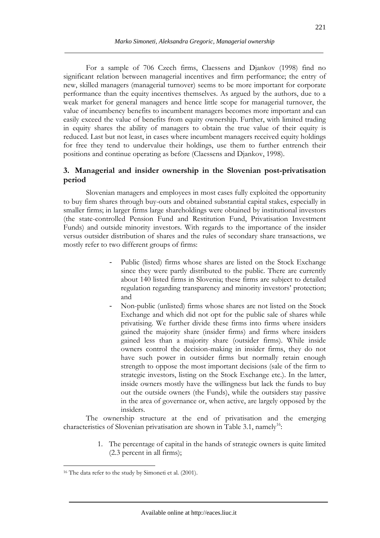For a sample of 706 Czech firms, Claessens and Djankov (1998) find no significant relation between managerial incentives and firm performance; the entry of new, skilled managers (managerial turnover) seems to be more important for corporate performance than the equity incentives themselves. As argued by the authors, due to a weak market for general managers and hence little scope for managerial turnover, the value of incumbency benefits to incumbent managers becomes more important and can easily exceed the value of benefits from equity ownership. Further, with limited trading in equity shares the ability of managers to obtain the true value of their equity is reduced. Last but not least, in cases where incumbent managers received equity holdings for free they tend to undervalue their holdings, use them to further entrench their positions and continue operating as before (Claessens and Djankov, 1998).

# **3. Managerial and insider ownership in the Slovenian post-privatisation period**

Slovenian managers and employees in most cases fully exploited the opportunity to buy firm shares through buy-outs and obtained substantial capital stakes, especially in smaller firms; in larger firms large shareholdings were obtained by institutional investors (the state-controlled Pension Fund and Restitution Fund, Privatisation Investment Funds) and outside minority investors. With regards to the importance of the insider versus outsider distribution of shares and the rules of secondary share transactions, we mostly refer to two different groups of firms:

- Public (listed) firms whose shares are listed on the Stock Exchange since they were partly distributed to the public. There are currently about 140 listed firms in Slovenia; these firms are subject to detailed regulation regarding transparency and minority investors' protection; and
- Non-public (unlisted) firms whose shares are not listed on the Stock Exchange and which did not opt for the public sale of shares while privatising. We further divide these firms into firms where insiders gained the majority share (insider firms) and firms where insiders gained less than a majority share (outsider firms). While inside owners control the decision-making in insider firms, they do not have such power in outsider firms but normally retain enough strength to oppose the most important decisions (sale of the firm to strategic investors, listing on the Stock Exchange etc.). In the latter, inside owners mostly have the willingness but lack the funds to buy out the outside owners (the Funds), while the outsiders stay passive in the area of governance or, when active, are largely opposed by the insiders.

The ownership structure at the end of privatisation and the emerging characteristics of Slovenian privatisation are shown in Table 3.1, namely<sup>16</sup>:

> 1. The percentage of capital in the hands of strategic owners is quite limited (2.3 percent in all firms);

<sup>&</sup>lt;sup>16</sup> The data refer to the study by Simoneti et al. (2001).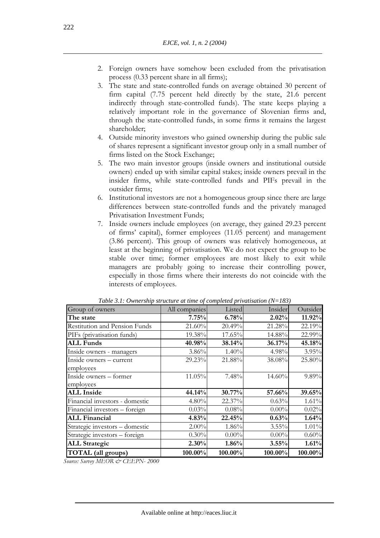- 2. Foreign owners have somehow been excluded from the privatisation process (0.33 percent share in all firms);
- 3. The state and state-controlled funds on average obtained 30 percent of firm capital (7.75 percent held directly by the state, 21.6 percent indirectly through state-controlled funds). The state keeps playing a relatively important role in the governance of Slovenian firms and, through the state-controlled funds, in some firms it remains the largest shareholder;
- 4. Outside minority investors who gained ownership during the public sale of shares represent a significant investor group only in a small number of firms listed on the Stock Exchange;
- 5. The two main investor groups (inside owners and institutional outside owners) ended up with similar capital stakes; inside owners prevail in the insider firms, while state-controlled funds and PIFs prevail in the outsider firms;
- 6. Institutional investors are not a homogeneous group since there are large differences between state-controlled funds and the privately managed Privatisation Investment Funds;
- 7. Inside owners include employees (on average, they gained 29.23 percent of firms' capital), former employees (11.05 percent) and management (3.86 percent). This group of owners was relatively homogeneous, at least at the beginning of privatisation. We do not expect the group to be stable over time; former employees are most likely to exit while managers are probably going to increase their controlling power, especially in those firms where their interests do not coincide with the interests of employees.

| Group of owners                      | All companies | Listed   | Insider  | Outsider |
|--------------------------------------|---------------|----------|----------|----------|
| The state                            | 7.75%         | 6.78%    | 2.02%    | 11.92%   |
| <b>Restitution and Pension Funds</b> | 21.60%        | 20.49%   | 21.28%   | 22.19%   |
| PIFs (privatisation funds)           | 19.38%        | 17.65%   | 14.88%   | 22.99%   |
| <b>ALL Funds</b>                     | 40.98%        | 38.14%   | 36.17%   | 45.18%   |
| Inside owners - managers             | 3.86%         | 1.40%    | 4.98%    | 3.95%    |
| Inside owners - current              | 29.23%        | 21.88%   | 38.08%   | 25.80%   |
| employees                            |               |          |          |          |
| Inside owners - former               | 11.05%        | 7.48%    | 14.60%   | 9.89%    |
| employees                            |               |          |          |          |
| <b>ALL Inside</b>                    | 44.14%        | 30.77%   | 57.66%   | 39.65%   |
| Financial investors - domestic       | 4.80%         | 22.37%   | 0.63%    | 1.61%    |
| Financial investors - foreign        | 0.03%         | 0.08%    | $0.00\%$ | 0.02%    |
| <b>ALL Financial</b>                 | 4.83%         | 22.45%   | 0.63%    | 1.64%    |
| Strategic investors - domestic       | $2.00\%$      | 1.86%    | $3.55\%$ | 1.01%    |
| Strategic investors - foreign        | 0.30%         | $0.00\%$ | $0.00\%$ | 0.60%    |
| <b>ALL Strategic</b>                 | 2.30%         | 1.86%    | 3.55%    | 1.61%    |
| <b>TOTAL</b> (all groups)            | 100.00%       | 100.00%  | 100.00%  | 100.00%  |

*Table 3.1: Ownership structure at time of completed privatisation (N=183)* 

*Source: Survey MEOR & CEEPN- 2000*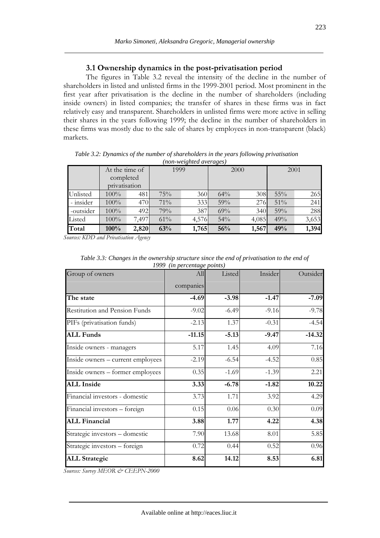#### **3.1 Ownership dynamics in the post-privatisation period**

The figures in Table 3.2 reveal the intensity of the decline in the number of shareholders in listed and unlisted firms in the 1999-2001 period. Most prominent in the first year after privatisation is the decline in the number of shareholders (including inside owners) in listed companies; the transfer of shares in these firms was in fact relatively easy and transparent. Shareholders in unlisted firms were more active in selling their shares in the years following 1999; the decline in the number of shareholders in these firms was mostly due to the sale of shares by employees in non-transparent (black) markets.

|           | (non-weignted averages) |       |        |                  |        |       |        |       |
|-----------|-------------------------|-------|--------|------------------|--------|-------|--------|-------|
|           | At the time of          |       | 1999   |                  | 2000   |       | 2001   |       |
|           | completed               |       |        |                  |        |       |        |       |
|           | privatisation           |       |        |                  |        |       |        |       |
| Unlisted  | $100\%$                 | 481   | $75\%$ | 360 <sub>l</sub> | $64\%$ | 308   | $55\%$ | 265   |
| - insider | $100\%$                 | 470   | 71%    | 333              | 59%    | 276   | $51\%$ | 241   |
| -outsider | 100%                    | 492   | 79%    | 387              | 69%    | 340   | 59%    | 288   |
| Listed    | $100\%$                 | 7,497 | $61\%$ | 4,576            | 54%    | 4,085 | 49%    | 3,653 |
| Total     | 100%                    | 2,820 | 63%    | 1,765            | 56%    | 1,567 | 49%    | 1,394 |

*Table 3.2: Dynamics of the number of shareholders in the years following privatisation (non-weighted averages)* 

*Sources: KDD and Privatisation Agency* 

| Group of owners                   | All       | Listed  | Insider | Outsider |
|-----------------------------------|-----------|---------|---------|----------|
|                                   | companies |         |         |          |
| The state                         | $-4.69$   | $-3.98$ | $-1.47$ | $-7.09$  |
| Restitution and Pension Funds     | $-9.02$   | $-6.49$ | $-9.16$ | $-9.78$  |
| PIFs (privatisation funds)        | $-2.13$   | 1.37    | $-0.31$ | $-4.54$  |
| <b>ALL Funds</b>                  | $-11.15$  | $-5.13$ | $-9.47$ | $-14.32$ |
| Inside owners - managers          | 5.17      | 1.45    | 4.09    | 7.16     |
| Inside owners – current employees | $-2.19$   | $-6.54$ | $-4.52$ | 0.85     |
| Inside owners - former employees  | 0.35      | $-1.69$ | $-1.39$ | 2.21     |
| <b>ALL Inside</b>                 | 3.33      | $-6.78$ | $-1.82$ | 10.22    |
| Financial investors - domestic    | 3.73      | 1.71    | 3.92    | 4.29     |
| Financial investors - foreign     | 0.15      | 0.06    | 0.30    | 0.09     |
| <b>ALL Financial</b>              | 3.88      | 1.77    | 4.22    | 4.38     |
| Strategic investors - domestic    | 7.90      | 13.68   | 8.01    | 5.85     |
| Strategic investors - foreign     | 0.72      | 0.44    | 0.52    | 0.96     |
| <b>ALL Strategic</b>              | 8.62      | 14.12   | 8.53    | 6.81     |

*Table 3.3: Changes in the ownership structure since the end of privatisation to the end of 1999 (in percentage points)* 

*Sources: Survey MEOR & CEEPN-2000*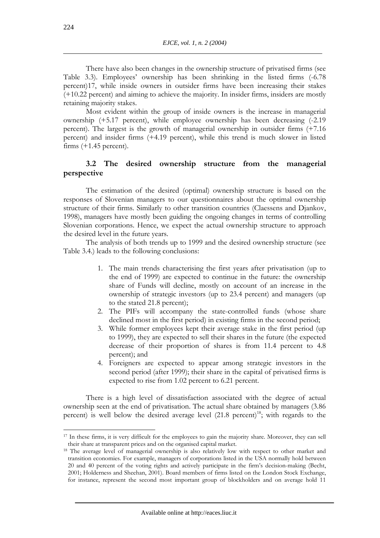There have also been changes in the ownership structure of privatised firms (see Table 3.3). Employees' ownership has been shrinking in the listed firms (-6.78 percent)17, while inside owners in outsider firms have been increasing their stakes (+10.22 percent) and aiming to achieve the majority. In insider firms, insiders are mostly retaining majority stakes.

Most evident within the group of inside owners is the increase in managerial ownership (+5.17 percent), while employee ownership has been decreasing (-2.19 percent). The largest is the growth of managerial ownership in outsider firms (+7.16 percent) and insider firms (+4.19 percent), while this trend is much slower in listed firms  $(+1.45$  percent).

### **3.2 The desired ownership structure from the managerial perspective**

The estimation of the desired (optimal) ownership structure is based on the responses of Slovenian managers to our questionnaires about the optimal ownership structure of their firms. Similarly to other transition countries (Claessens and Djankov, 1998), managers have mostly been guiding the ongoing changes in terms of controlling Slovenian corporations. Hence, we expect the actual ownership structure to approach the desired level in the future years.

The analysis of both trends up to 1999 and the desired ownership structure (see Table 3.4.) leads to the following conclusions:

- 1. The main trends characterising the first years after privatisation (up to the end of 1999) are expected to continue in the future: the ownership share of Funds will decline, mostly on account of an increase in the ownership of strategic investors (up to 23.4 percent) and managers (up to the stated 21.8 percent);
- 2. The PIFs will accompany the state-controlled funds (whose share declined most in the first period) in existing firms in the second period;
- 3. While former employees kept their average stake in the first period (up to 1999), they are expected to sell their shares in the future (the expected decrease of their proportion of shares is from 11.4 percent to 4.8 percent); and
- 4. Foreigners are expected to appear among strategic investors in the second period (after 1999); their share in the capital of privatised firms is expected to rise from 1.02 percent to 6.21 percent.

There is a high level of dissatisfaction associated with the degree of actual ownership seen at the end of privatisation. The actual share obtained by managers (3.86 percent) is well below the desired average level  $(21.8 \text{ percent})^{18}$ ; with regards to the

<sup>17</sup> In these firms, it is very difficult for the employees to gain the majority share. Moreover, they can sell their share at transparent prices and on the organised capital market. 18 The average level of managerial ownership is also relatively low with respect to other market and

transition economies. For example, managers of corporations listed in the USA normally hold between 20 and 40 percent of the voting rights and actively participate in the firm's decision-making (Becht, 2001; Holderness and Sheehan, 2001). Board members of firms listed on the London Stock Exchange, for instance, represent the second most important group of blockholders and on average hold 11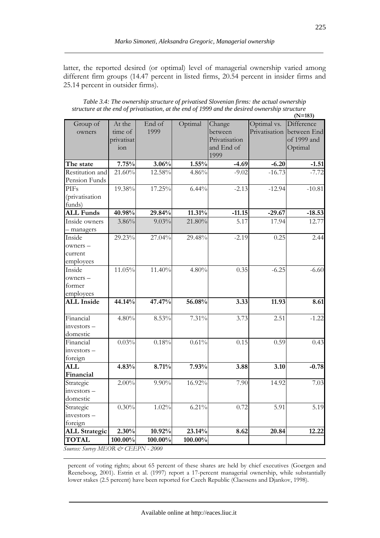latter, the reported desired (or optimal) level of managerial ownership varied among different firm groups (14.47 percent in listed firms, 20.54 percent in insider firms and 25.14 percent in outsider firms).

| Table 3.4: The ownership structure of privatised Slovenian firms: the actual ownership        |
|-----------------------------------------------------------------------------------------------|
| structure at the end of privatisation, at the end of 1999 and the desired ownership structure |
| $N=1$                                                                                         |

|                       |            |          |         |               |               | $(N=183)$   |
|-----------------------|------------|----------|---------|---------------|---------------|-------------|
| Group of              | At the     | End of   | Optimal | Change        | Optimal vs.   | Difference  |
| owners                | time of    | 1999     |         | between       | Privatisation | between End |
|                       | privatisat |          |         | Privatisation |               | of 1999 and |
|                       | ion        |          |         | and End of    |               | Optimal     |
|                       |            |          |         | 1999          |               |             |
| The state             | 7.75%      | 3.06%    | 1.55%   | $-4.69$       | $-6.20$       | $-1.51$     |
| Restitution and       | 21.60%     | 12.58%   | 4.86%   | $-9.02$       | $-16.73$      | $-7.72$     |
| Pension Funds         |            |          |         |               |               |             |
| <b>PIFs</b>           | 19.38%     | 17.25%   | 6.44%   | $-2.13$       | $-12.94$      | $-10.81$    |
| <i>(privatisation</i> |            |          |         |               |               |             |
| funds)                |            |          |         |               |               |             |
| <b>ALL Funds</b>      | 40.98%     | 29.84%   | 11.31%  | $-11.15$      | $-29.67$      | $-18.53$    |
| Inside owners         | 3.86%      | 9.03%    | 21.80%  | 5.17          | 17.94         | 12.77       |
| - managers            |            |          |         |               |               |             |
| Inside                | 29.23%     | 27.04%   | 29.48%  | $-2.19$       | 0.25          | 2.44        |
| owners -              |            |          |         |               |               |             |
| current               |            |          |         |               |               |             |
| employees             |            |          |         |               |               |             |
| Inside                | $11.05\%$  | 11.40%   | 4.80%   | 0.35          | $-6.25$       | $-6.60$     |
| owners -              |            |          |         |               |               |             |
| former                |            |          |         |               |               |             |
| employees             |            |          |         |               |               |             |
| <b>ALL Inside</b>     | 44.14%     | 47.47%   | 56.08%  | 3.33          | 11.93         | 8.61        |
| Financial             | 4.80%      | 8.53%    | 7.31%   | 3.73          | 2.51          | $-1.22$     |
| investors -           |            |          |         |               |               |             |
| domestic              |            |          |         |               |               |             |
| Financial             | 0.03%      | $0.18\%$ | 0.61%   | 0.15          | 0.59          | 0.43        |
| investors-            |            |          |         |               |               |             |
| foreign               |            |          |         |               |               |             |
| <b>ALL</b>            | 4.83%      | 8.71%    | 7.93%   | 3.88          | 3.10          | $-0.78$     |
| Financial             |            |          |         |               |               |             |
| Strategic             | $2.00\%$   | 9.90%    | 16.92%  | 7.90          | 14.92         | 7.03        |
| investors -           |            |          |         |               |               |             |
| domestic              |            |          |         |               |               |             |
| Strategic             | 0.30%      | 1.02%    | 6.21%   | 0.72          | 5.91          | 5.19        |
| investors-            |            |          |         |               |               |             |
| foreign               |            |          |         |               |               |             |
| <b>ALL Strategic</b>  | 2.30%      | 10.92%   | 23.14%  | 8.62          | 20.84         | 12.22       |
| <b>TOTAL</b>          | 100.00%    | 100.00%  | 100.00% |               |               |             |

*Sources: Survey MEOR & CEEPN - 2000* 

 $\overline{a}$ 

percent of voting rights; about 65 percent of these shares are held by chief executives (Goergen and Reeneboog, 2001). Estrin et al. (1997) report a 17-percent managerial ownership, while substantially lower stakes (2.5 percent) have been reported for Czech Republic (Claessens and Djankov, 1998).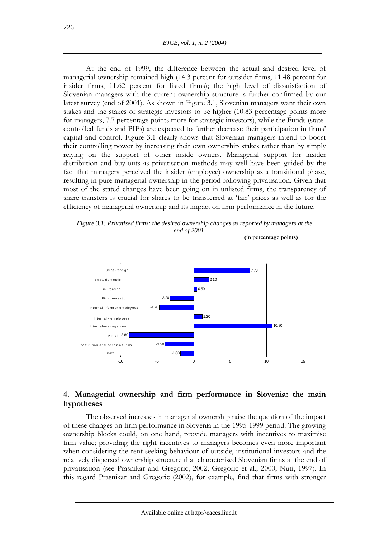At the end of 1999, the difference between the actual and desired level of managerial ownership remained high (14.3 percent for outsider firms, 11.48 percent for insider firms, 11.62 percent for listed firms); the high level of dissatisfaction of Slovenian managers with the current ownership structure is further confirmed by our latest survey (end of 2001). As shown in Figure 3.1, Slovenian managers want their own stakes and the stakes of strategic investors to be higher (10.83 percentage points more for managers, 7.7 percentage points more for strategic investors), while the Funds (statecontrolled funds and PIFs) are expected to further decrease their participation in firms' capital and control. Figure 3.1 clearly shows that Slovenian managers intend to boost their controlling power by increasing their own ownership stakes rather than by simply relying on the support of other inside owners. Managerial support for insider distribution and buy-outs as privatisation methods may well have been guided by the fact that managers perceived the insider (employee) ownership as a transitional phase, resulting in pure managerial ownership in the period following privatisation. Given that most of the stated changes have been going on in unlisted firms, the transparency of share transfers is crucial for shares to be transferred at 'fair' prices as well as for the efficiency of managerial ownership and its impact on firm performance in the future.





## **4. Managerial ownership and firm performance in Slovenia: the main hypotheses**

The observed increases in managerial ownership raise the question of the impact of these changes on firm performance in Slovenia in the 1995-1999 period. The growing ownership blocks could, on one hand, provide managers with incentives to maximise firm value; providing the right incentives to managers becomes even more important when considering the rent-seeking behaviour of outside, institutional investors and the relatively dispersed ownership structure that characterised Slovenian firms at the end of privatisation (see Prasnikar and Gregoric, 2002; Gregoric et al.; 2000; Nuti, 1997). In this regard Prasnikar and Gregoric (2002), for example, find that firms with stronger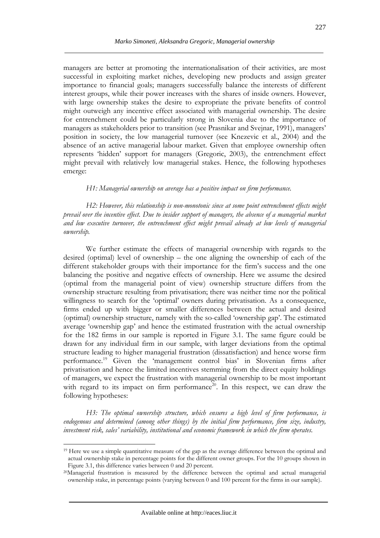managers are better at promoting the internationalisation of their activities, are most successful in exploiting market niches, developing new products and assign greater importance to financial goals; managers successfully balance the interests of different interest groups, while their power increases with the shares of inside owners. However, with large ownership stakes the desire to expropriate the private benefits of control might outweigh any incentive effect associated with managerial ownership. The desire for entrenchment could be particularly strong in Slovenia due to the importance of managers as stakeholders prior to transition (see Prasnikar and Svejnar, 1991), managers' position in society, the low managerial turnover (see Knezevic et al., 2004) and the absence of an active managerial labour market. Given that employee ownership often represents 'hidden' support for managers (Gregoric, 2003), the entrenchment effect might prevail with relatively low managerial stakes. Hence, the following hypotheses emerge:

#### *H1: Managerial ownership on average has a positive impact on firm performance.*

*H2: However, this relationship is non-monotonic since at some point entrenchment effects might prevail over the incentive effect. Due to insider support of managers, the absence of a managerial market and low executive turnover, the entrenchment effect might prevail already at low levels of managerial ownership.* 

We further estimate the effects of managerial ownership with regards to the desired (optimal) level of ownership – the one aligning the ownership of each of the different stakeholder groups with their importance for the firm's success and the one balancing the positive and negative effects of ownership. Here we assume the desired (optimal from the managerial point of view) ownership structure differs from the ownership structure resulting from privatisation; there was neither time nor the political willingness to search for the 'optimal' owners during privatisation. As a consequence, firms ended up with bigger or smaller differences between the actual and desired (optimal) ownership structure, namely with the so-called 'ownership gap'. The estimated average 'ownership gap' and hence the estimated frustration with the actual ownership for the 182 firms in our sample is reported in Figure 3.1. The same figure could be drawn for any individual firm in our sample, with larger deviations from the optimal structure leading to higher managerial frustration (dissatisfaction) and hence worse firm performance.19 Given the 'management control bias' in Slovenian firms after privatisation and hence the limited incentives stemming from the direct equity holdings of managers, we expect the frustration with managerial ownership to be most important with regard to its impact on firm performance<sup>20</sup>. In this respect, we can draw the following hypotheses:

*H3: The optimal ownership structure, which ensures a high level of firm performance, is endogenous and determined (among other things) by the initial firm performance, firm size, industry, investment risk, sales' variability, institutional and economic framework in which the firm operates.* 

<sup>&</sup>lt;sup>19</sup> Here we use a simple quantitative measure of the gap as the average difference between the optimal and actual ownership stake in percentage points for the different owner groups. For the 10 groups shown in Figure 3.1, this difference varies between 0 and 20 percent.<br><sup>20</sup>Managerial frustration is measured by the difference between the optimal and actual managerial

ownership stake, in percentage points (varying between 0 and 100 percent for the firms in our sample).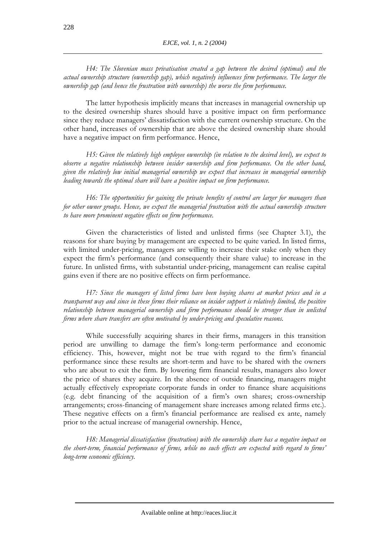*H4: The Slovenian mass privatisation created a gap between the desired (optimal) and the actual ownership structure (ownership gap), which negatively influences firm performance. The larger the ownership gap (and hence the frustration with ownership) the worse the firm performance.* 

The latter hypothesis implicitly means that increases in managerial ownership up to the desired ownership shares should have a positive impact on firm performance since they reduce managers' dissatisfaction with the current ownership structure. On the other hand, increases of ownership that are above the desired ownership share should have a negative impact on firm performance. Hence,

*H5: Given the relatively high employee ownership (in relation to the desired level), we expect to observe a negative relationship between insider ownership and firm performance. On the other hand, given the relatively low initial managerial ownership we expect that increases in managerial ownership leading towards the optimal share will have a positive impact on firm performance.* 

*H6: The opportunities for gaining the private benefits of control are larger for managers than for other owner groups. Hence, we expect the managerial frustration with the actual ownership structure to have more prominent negative effects on firm performance.* 

Given the characteristics of listed and unlisted firms (see Chapter 3.1), the reasons for share buying by management are expected to be quite varied. In listed firms, with limited under-pricing, managers are willing to increase their stake only when they expect the firm's performance (and consequently their share value) to increase in the future. In unlisted firms, with substantial under-pricing, management can realise capital gains even if there are no positive effects on firm performance.

*H7: Since the managers of listed firms have been buying shares at market prices and in a transparent way and since in these firms their reliance on insider support is relatively limited, the positive relationship between managerial ownership and firm performance should be stronger than in unlisted firms where share transfers are often motivated by under-pricing and speculative reasons.* 

While successfully acquiring shares in their firms, managers in this transition period are unwilling to damage the firm's long-term performance and economic efficiency. This, however, might not be true with regard to the firm's financial performance since these results are short-term and have to be shared with the owners who are about to exit the firm. By lowering firm financial results, managers also lower the price of shares they acquire. In the absence of outside financing, managers might actually effectively expropriate corporate funds in order to finance share acquisitions (e.g. debt financing of the acquisition of a firm's own shares; cross-ownership arrangements; cross-financing of management share increases among related firms etc.). These negative effects on a firm's financial performance are realised ex ante, namely prior to the actual increase of managerial ownership. Hence,

*H8: Managerial dissatisfaction (frustration) with the ownership share has a negative impact on the short-term, financial performance of firms, while no such effects are expected with regard to firms' long-term economic efficiency.*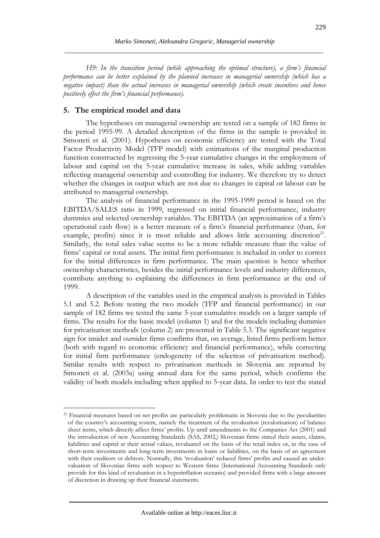*H9: In the transition period (while approaching the optimal structure), a firm's financial performance can be better explained by the planned increases in managerial ownership (which has a negative impact) than the actual increases in managerial ownership (which create incentives and hence positively effect the firm's financial performance).* 

## **5. The empirical model and data**

 $\overline{a}$ 

The hypotheses on managerial ownership are tested on a sample of 182 firms in the period 1995-99. A detailed description of the firms in the sample is provided in Simoneti et al. (2001). Hypotheses on economic efficiency are tested with the Total Factor Productivity Model (TFP model) with estimations of the marginal production function constructed by regressing the 5-year cumulative changes in the employment of labour and capital on the 5-year cumulative increase in sales, while adding variables reflecting managerial ownership and controlling for industry. We therefore try to detect whether the changes in output which are not due to changes in capital or labour can be attributed to managerial ownership.

The analysis of financial performance in the 1995-1999 period is based on the EBITDA/SALES ratio in 1999, regressed on initial financial performance, industry dummies and selected ownership variables. The EBITDA (an approximation of a firm's operational cash flow) is a better measure of a firm's financial performance (than, for example, profits) since it is most reliable and allows little accounting discretion<sup>21</sup>. Similarly, the total sales value seems to be a more reliable measure than the value of firms' capital or total assets. The initial firm performance is included in order to correct for the initial differences in firm performance. The main question is hence whether ownership characteristics, besides the initial performance levels and industry differences, contribute anything to explaining the differences in firm performance at the end of 1999.

A description of the variables used in the empirical analysis is provided in Tables 5.1 and 5.2. Before testing the two models (TFP and financial performance) in our sample of 182 firms we tested the same 5-year cumulative models on a larger sample of firms. The results for the basic model (column 1) and for the models including dummies for privatisation methods (column 2) are presented in Table 5.3. The significant negative sign for insider and outsider firms confirms that, on average, listed firms perform better (both with regard to economic efficiency and financial performance), while correcting for initial firm performance (endogeneity of the selection of privatisation method). Similar results with respect to privatisation methods in Slovenia are reported by Simoneti et al. (2003a) using annual data for the same period, which confirms the validity of both models including when applied to 5-year data. In order to test the stated

<sup>21</sup> Financial measures based on net profits are particularly problematic in Slovenia due to the peculiarities of the country's accounting system, namely the treatment of the revaluation (revalorisation) of balance sheet items, which directly affect firms' profits. Up until amendments to the Companies Act (2001) and the introduction of new Accounting Standards (SAS, 2002,) Slovenian firms stated their assets, claims, liabilities and capital at their actual values, revaluated on the basis of the retail index or, in the case of short-term investments and long-term investments in loans or liabilities, on the basis of an agreement with their creditors or debtors. Normally, this 'revaluation' reduced firms' profits and caused an undervaluation of Slovenian firms with respect to Western firms (International Accounting Standards only provide for this kind of revaluation in a hyperinflation scenario) and provided firms with a large amount of discretion in drawing up their financial statements.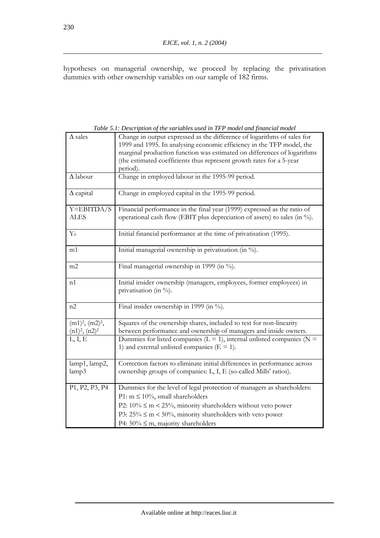hypotheses on managerial ownership, we proceed by replacing the privatisation dummies with other ownership variables on our sample of 182 firms.

|                                          | on of me vanaotes asea m 111 moder and financial mod                                                                                                                                                                                                                                                            |
|------------------------------------------|-----------------------------------------------------------------------------------------------------------------------------------------------------------------------------------------------------------------------------------------------------------------------------------------------------------------|
| $\Delta$ sales                           | Change in output expressed as the difference of logarithms of sales for<br>1999 and 1995. In analysing economic efficiency in the TFP model, the<br>marginal production function was estimated on differences of logarithms<br>(the estimated coefficients thus represent growth rates for a 5-year<br>period). |
| $\Delta$ labour                          | Change in employed labour in the 1995-99 period.                                                                                                                                                                                                                                                                |
| $\Delta$ capital                         | Change in employed capital in the 1995-99 period.                                                                                                                                                                                                                                                               |
| $Y = EBITDA/S$                           | Financial performance in the final year (1999) expressed as the ratio of                                                                                                                                                                                                                                        |
| <b>ALES</b>                              | operational cash flow (EBIT plus depreciation of assets) to sales (in %).                                                                                                                                                                                                                                       |
| $Y_0$                                    | Initial financial performance at the time of privatisation (1995).                                                                                                                                                                                                                                              |
| m1                                       | Initial managerial ownership in privatisation (in %).                                                                                                                                                                                                                                                           |
| m2                                       | Final managerial ownership in 1999 (in %).                                                                                                                                                                                                                                                                      |
| n1                                       | Initial insider ownership (managers, employees, former employees) in<br>privatisation (in %).                                                                                                                                                                                                                   |
| n2                                       | Final insider ownership in 1999 (in %).                                                                                                                                                                                                                                                                         |
| $(m1)2$ , $(m2)2$ ,<br>$(n1)2$ , $(n2)2$ | Squares of the ownership shares, included to test for non-linearity<br>between performance and ownership of managers and inside owners.                                                                                                                                                                         |
| L, I, E                                  | Dummies for listed companies ( $L = 1$ ), internal unlisted companies ( $N =$<br>1) and external unlisted companies ( $E = 1$ ).                                                                                                                                                                                |
| lamp1, lamp2,<br>lamp3                   | Correction factors to eliminate initial differences in performance across<br>ownership groups of companies: L, I, E (so-called Mills' ratios).                                                                                                                                                                  |
|                                          |                                                                                                                                                                                                                                                                                                                 |
| P1, P2, P3, P4                           | Dummies for the level of legal protection of managers as shareholders:                                                                                                                                                                                                                                          |
|                                          | P1: $m \le 10\%$ , small shareholders                                                                                                                                                                                                                                                                           |
|                                          | P2: $10\% \le m < 25\%$ , minority shareholders without veto power                                                                                                                                                                                                                                              |
|                                          | P3: $25\% \le m < 50\%$ , minority shareholders with veto power                                                                                                                                                                                                                                                 |
|                                          | P4: $50\% \le m$ , majority shareholders                                                                                                                                                                                                                                                                        |

*Table 5.1: Description of the variables used in TFP model and financial model*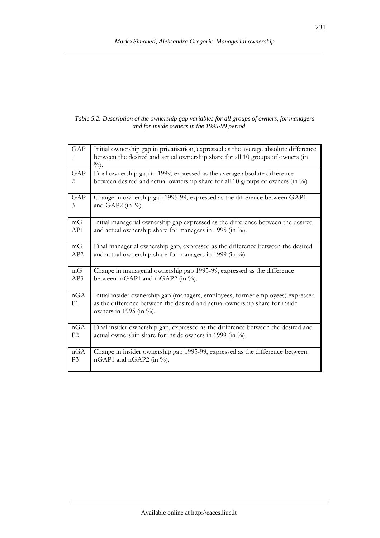#### *Table 5.2: Description of the ownership gap variables for all groups of owners, for managers and for inside owners in the 1995-99 period*

| GAP<br>1<br>GAP<br>2<br>GAP | Initial ownership gap in privatisation, expressed as the average absolute difference<br>between the desired and actual ownership share for all 10 groups of owners (in<br>$\%$ ).<br>Final ownership gap in 1999, expressed as the average absolute difference<br>between desired and actual ownership share for all 10 groups of owners (in %).<br>Change in ownership gap 1995-99, expressed as the difference between GAP1 |
|-----------------------------|-------------------------------------------------------------------------------------------------------------------------------------------------------------------------------------------------------------------------------------------------------------------------------------------------------------------------------------------------------------------------------------------------------------------------------|
| 3                           | and GAP2 (in $\%$ ).                                                                                                                                                                                                                                                                                                                                                                                                          |
| mG                          | Initial managerial ownership gap expressed as the difference between the desired                                                                                                                                                                                                                                                                                                                                              |
| AP1                         | and actual ownership share for managers in 1995 (in %).                                                                                                                                                                                                                                                                                                                                                                       |
| mG                          | Final managerial ownership gap, expressed as the difference between the desired                                                                                                                                                                                                                                                                                                                                               |
| AP <sub>2</sub>             | and actual ownership share for managers in 1999 (in %).                                                                                                                                                                                                                                                                                                                                                                       |
| mG                          | Change in managerial ownership gap 1995-99, expressed as the difference                                                                                                                                                                                                                                                                                                                                                       |
| AP3                         | between mGAP1 and mGAP2 (in %).                                                                                                                                                                                                                                                                                                                                                                                               |
| nGA<br>P <sub>1</sub>       | Initial insider ownership gap (managers, employees, former employees) expressed<br>as the difference between the desired and actual ownership share for inside<br>owners in 1995 (in $\%$ ).                                                                                                                                                                                                                                  |
| nGA                         | Final insider ownership gap, expressed as the difference between the desired and                                                                                                                                                                                                                                                                                                                                              |
| P2                          | actual ownership share for inside owners in 1999 (in %).                                                                                                                                                                                                                                                                                                                                                                      |
| nGA                         | Change in insider ownership gap 1995-99, expressed as the difference between                                                                                                                                                                                                                                                                                                                                                  |
| P <sub>3</sub>              | nGAP1 and nGAP2 (in %).                                                                                                                                                                                                                                                                                                                                                                                                       |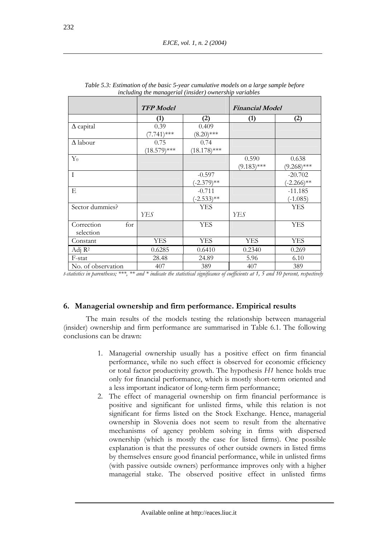|                    | <b>TFP</b> Model |                | <b>Financial Model</b> |               |
|--------------------|------------------|----------------|------------------------|---------------|
|                    | (1)              | (2)            | (1)                    | (2)           |
| $\Delta$ capital   | 0.39             | 0.409          |                        |               |
|                    | $(7.741)$ ***    | $(8.20)$ ***   |                        |               |
| $\Delta$ labour    | 0.75             | 0.74           |                        |               |
|                    | $(18.579)$ ***   | $(18.178)$ *** |                        |               |
| $Y_0$              |                  |                | 0.590                  | 0.638         |
|                    |                  |                | $(9.183)$ ***          | $(9.268)$ *** |
| I                  |                  | $-0.597$       |                        | $-20.702$     |
|                    |                  | $(-2.379)$ **  |                        | $(-2.266)$ ** |
| E                  |                  | $-0.711$       |                        | $-11.185$     |
|                    |                  | $(-2.533)$ **  |                        | $(-1.085)$    |
| Sector dummies?    |                  | <b>YES</b>     |                        | <b>YES</b>    |
|                    | <b>YES</b>       |                | YES                    |               |
| Correction<br>for  |                  | <b>YES</b>     |                        | <b>YES</b>    |
| selection          |                  |                |                        |               |
| Constant           | <b>YES</b>       | <b>YES</b>     | <b>YES</b>             | <b>YES</b>    |
| Adj $R^2$          | 0.6285           | 0.6410         | 0.2340                 | 0.269         |
| F-stat             | 28.48            | 24.89          | 5.96                   | 6.10          |
| No. of observation | 407              | 389            | 407                    | 389           |

| Table 5.3: Estimation of the basic 5-year cumulative models on a large sample before |
|--------------------------------------------------------------------------------------|
| including the managerial (insider) ownership variables                               |

*t-statistics in parentheses; \*\*\*, \*\* and \* indicate the statistical significance of coefficients at 1, 5 and 10 percent, respectively* 

#### **6. Managerial ownership and firm performance. Empirical results**

The main results of the models testing the relationship between managerial (insider) ownership and firm performance are summarised in Table 6.1. The following conclusions can be drawn:

- 1. Managerial ownership usually has a positive effect on firm financial performance, while no such effect is observed for economic efficiency or total factor productivity growth. The hypothesis *H1* hence holds true only for financial performance, which is mostly short-term oriented and a less important indicator of long-term firm performance;
- 2. The effect of managerial ownership on firm financial performance is positive and significant for unlisted firms, while this relation is not significant for firms listed on the Stock Exchange. Hence, managerial ownership in Slovenia does not seem to result from the alternative mechanisms of agency problem solving in firms with dispersed ownership (which is mostly the case for listed firms). One possible explanation is that the pressures of other outside owners in listed firms by themselves ensure good financial performance, while in unlisted firms (with passive outside owners) performance improves only with a higher managerial stake. The observed positive effect in unlisted firms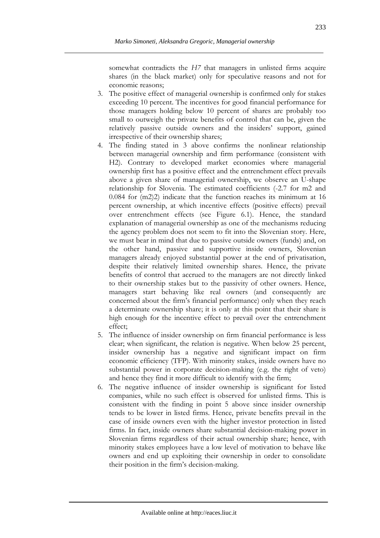somewhat contradicts the *H7* that managers in unlisted firms acquire shares (in the black market) only for speculative reasons and not for economic reasons;

- 3. The positive effect of managerial ownership is confirmed only for stakes exceeding 10 percent. The incentives for good financial performance for those managers holding below 10 percent of shares are probably too small to outweigh the private benefits of control that can be, given the relatively passive outside owners and the insiders' support, gained irrespective of their ownership shares;
- 4. The finding stated in 3 above confirms the nonlinear relationship between managerial ownership and firm performance (consistent with H2). Contrary to developed market economies where managerial ownership first has a positive effect and the entrenchment effect prevails above a given share of managerial ownership, we observe an U-shape relationship for Slovenia. The estimated coefficients (-2.7 for m2 and 0.084 for (m2)2) indicate that the function reaches its minimum at 16 percent ownership, at which incentive effects (positive effects) prevail over entrenchment effects (see Figure 6.1). Hence, the standard explanation of managerial ownership as one of the mechanisms reducing the agency problem does not seem to fit into the Slovenian story. Here, we must bear in mind that due to passive outside owners (funds) and, on the other hand, passive and supportive inside owners, Slovenian managers already enjoyed substantial power at the end of privatisation, despite their relatively limited ownership shares. Hence, the private benefits of control that accrued to the managers are not directly linked to their ownership stakes but to the passivity of other owners. Hence, managers start behaving like real owners (and consequently are concerned about the firm's financial performance) only when they reach a determinate ownership share; it is only at this point that their share is high enough for the incentive effect to prevail over the entrenchment effect;
- 5. The influence of insider ownership on firm financial performance is less clear; when significant, the relation is negative. When below 25 percent, insider ownership has a negative and significant impact on firm economic efficiency (TFP). With minority stakes, inside owners have no substantial power in corporate decision-making (e.g. the right of veto) and hence they find it more difficult to identify with the firm;
- 6. The negative influence of insider ownership is significant for listed companies, while no such effect is observed for unlisted firms. This is consistent with the finding in point 5 above since insider ownership tends to be lower in listed firms. Hence, private benefits prevail in the case of inside owners even with the higher investor protection in listed firms. In fact, inside owners share substantial decision-making power in Slovenian firms regardless of their actual ownership share; hence, with minority stakes employees have a low level of motivation to behave like owners and end up exploiting their ownership in order to consolidate their position in the firm's decision-making.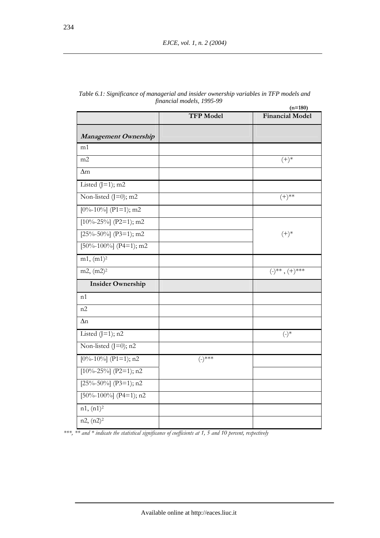|                              | <b>TFP Model</b> | <b>Financial Model</b>   |  |
|------------------------------|------------------|--------------------------|--|
| Management Ownership         |                  |                          |  |
| m1                           |                  |                          |  |
| m2                           |                  | $(+)^*$                  |  |
| $\Delta$ m                   |                  |                          |  |
| Listed $(J=1)$ ; m2          |                  |                          |  |
| Non-listed $(J=0)$ ; m2      |                  | $(+)^{**}$               |  |
| $[0\% - 10\%]$ (P1=1); m2    |                  |                          |  |
| [ $10\% - 25\%$ ] (P2=1); m2 |                  |                          |  |
| [ $25\% - 50\%$ ] (P3=1); m2 |                  | $(+)^*$                  |  |
| [50%-100%] (P4=1); m2        |                  |                          |  |
| m1, (m1) <sup>2</sup>        |                  |                          |  |
| m2, (m2) <sup>2</sup>        |                  | $(-)^{**}$ , $(+)^{***}$ |  |
| <b>Insider Ownership</b>     |                  |                          |  |
| n1                           |                  |                          |  |
| n2                           |                  |                          |  |
| $\Delta n$                   |                  |                          |  |
| Listed $(J=1)$ ; n2          |                  | $(\text{-})^*$           |  |
| Non-listed $(I=0)$ ; n2      |                  |                          |  |
| $[0\% - 10\%]$ (P1=1); n2    | $(-)$ ***        |                          |  |
| [ $10\% - 25\%$ ] (P2=1); n2 |                  |                          |  |
| [ $25\% - 50\%$ ] (P3=1); n2 |                  |                          |  |
| [50%-100%] (P4=1); n2        |                  |                          |  |
| $n1, (n1)^2$                 |                  |                          |  |
| $n2, (n2)^2$                 |                  |                          |  |

| Table 6.1: Significance of managerial and insider ownership variables in TFP models and |
|-----------------------------------------------------------------------------------------|
| financial models, 1995-99                                                               |

*\*\*\*, \*\* and \* indicate the statistical significance of coefficients at 1, 5 and 10 percent, respectively*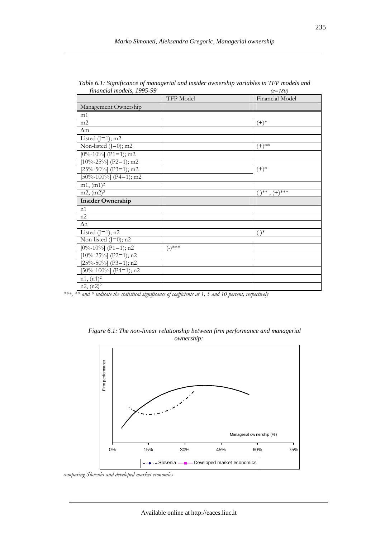| financial models, 1993-99    | TFP Model | $(n - 100)$<br>Financial Model                        |
|------------------------------|-----------|-------------------------------------------------------|
| Management Ownership         |           |                                                       |
| m1                           |           |                                                       |
| m2                           |           | $^{(+)*}$                                             |
| $\Delta$ m                   |           |                                                       |
| Listed $(J=1)$ ; m2          |           |                                                       |
| Non-listed $(J=0)$ ; m2      |           | $(+)^{**}$                                            |
| $[0\% - 10\%]$ (P1=1); m2    |           |                                                       |
| [ $10\% - 25\%$ ] (P2=1); m2 |           |                                                       |
| [ $25\% - 50\%$ ] (P3=1); m2 |           | $(+)^*$                                               |
| [50%-100%] (P4=1); m2        |           |                                                       |
| m1, (m1) <sup>2</sup>        |           |                                                       |
| $m2, (m2)^2$                 |           | $(\hbox{-})^{\ast\ast}$ , $(\hbox{+})^{\ast\ast\ast}$ |
| <b>Insider Ownership</b>     |           |                                                       |
| n1                           |           |                                                       |
| n2                           |           |                                                       |
| $\Delta n$                   |           |                                                       |
| Listed $($ J=1 $)$ ; n2      |           | $(-)^*$                                               |
| Non-listed $(J=0)$ ; n2      |           |                                                       |
| $[0\% - 10\%]$ (P1=1); n2    | $(-)$ *** |                                                       |
| [ $10\% - 25\%$ ] (P2=1); n2 |           |                                                       |
| [ $25\% - 50\%$ ] (P3=1); n2 |           |                                                       |
| $[50\% - 100\%]$ (P4=1); n2  |           |                                                       |
| $n1, (n1)^2$                 |           |                                                       |
| $n2, (n2)^2$                 |           |                                                       |

*Table 6.1: Significance of managerial and insider ownership variables in TFP models and financial models, 1995-99 (n=180)* 

*\*\*\*, \*\* and \* indicate the statistical significance of coefficients at 1, 5 and 10 percent, respectively* 



*Figure 6.1: The non-linear relationship between firm performance and managerial ownership:* 

*comparing Slovenia and developed market economies*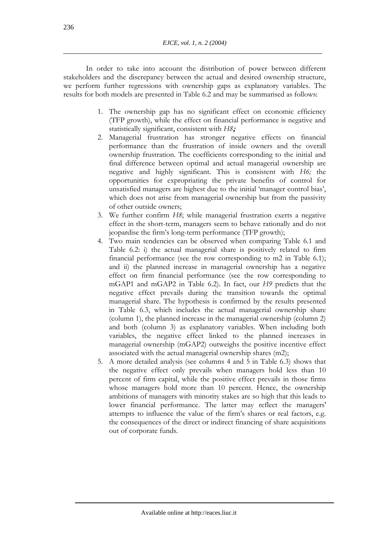In order to take into account the distribution of power between different stakeholders and the discrepancy between the actual and desired ownership structure, we perform further regressions with ownership gaps as explanatory variables. The results for both models are presented in Table 6.2 and may be summarised as follows:

- 1. The ownership gap has no significant effect on economic efficiency (TFP growth), while the effect on financial performance is negative and statistically significant, consistent with *H8***;**
- 2. Managerial frustration has stronger negative effects on financial performance than the frustration of inside owners and the overall ownership frustration. The coefficients corresponding to the initial and final difference between optimal and actual managerial ownership are negative and highly significant. This is consistent with *H6;* the opportunities for expropriating the private benefits of control for unsatisfied managers are highest due to the initial 'manager control bias', which does not arise from managerial ownership but from the passivity of other outside owners;
- 3. We further confirm *H8*; while managerial frustration exerts a negative effect in the short-term, managers seem to behave rationally and do not jeopardise the firm's long-term performance (TFP growth);
- 4. Two main tendencies can be observed when comparing Table 6.1 and Table 6.2: i) the actual managerial share is positively related to firm financial performance (see the row corresponding to m2 in Table 6.1); and ii) the planned increase in managerial ownership has a negative effect on firm financial performance (see the row corresponding to mGAP1 and mGAP2 in Table 6.2). In fact, our *H9* predicts that the negative effect prevails during the transition towards the optimal managerial share. The hypothesis is confirmed by the results presented in Table 6.3, which includes the actual managerial ownership share (column 1), the planned increase in the managerial ownership (column 2) and both (column 3) as explanatory variables. When including both variables, the negative effect linked to the planned increases in managerial ownership (mGAP2) outweighs the positive incentive effect associated with the actual managerial ownership shares (m2);
- 5. A more detailed analysis (see columns 4 and 5 in Table 6.3) shows that the negative effect only prevails when managers hold less than 10 percent of firm capital, while the positive effect prevails in those firms whose managers hold more than 10 percent. Hence, the ownership ambitions of managers with minority stakes are so high that this leads to lower financial performance. The latter may reflect the managers' attempts to influence the value of the firm's shares or real factors, e.g. the consequences of the direct or indirect financing of share acquisitions out of corporate funds.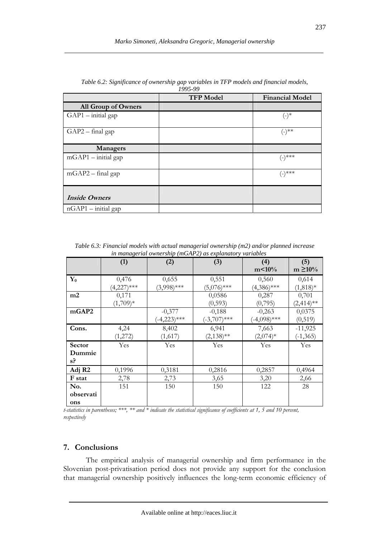|                       | <b>TFP Model</b> | <b>Financial Model</b> |
|-----------------------|------------------|------------------------|
| All Group of Owners   |                  |                        |
| $GAP1$ – initial gap  |                  | $(-)^*$                |
| $GAP2$ – final gap    |                  | $(-)^{**}$             |
| <b>Managers</b>       |                  |                        |
| $mGAP1$ – initial gap |                  | (-)***                 |
| $mGAP2 - final gap$   |                  | (-)***                 |
| <b>Inside Owners</b>  |                  |                        |
| $nGAP1$ - initial gap |                  |                        |

*Table 6.2: Significance of ownership gap variables in TFP models and financial models, 1995-99* 

| Table 6.3: Financial models with actual managerial ownership (m2) and/or planned increase |  |
|-------------------------------------------------------------------------------------------|--|
| in managerial ownership (mGAP2) as explanatory variables                                  |  |

|                    | $\ldots$ $\ldots$ |                |                |                |                     |  |  |
|--------------------|-------------------|----------------|----------------|----------------|---------------------|--|--|
|                    | (1)               | (2)            | (3)            | (4)<br>m<10%   | (5)<br>$m \ge 10\%$ |  |  |
| $\mathbf{Y_0}$     | 0,476             | 0,655          | 0,551          | 0,560          | 0,614               |  |  |
|                    | $(4,227)$ ***     | $(3,998)$ ***  | $(5,076)$ ***  | $(4,386)$ ***  | $(1,818)*$          |  |  |
| m2                 | 0,171             |                | 0,0586         | 0,287          | 0,701               |  |  |
|                    | $(1,709)*$        |                | (0, 593)       | (0,795)        | $(2,414)$ **        |  |  |
| mGAP2              |                   | $-0,377$       | $-0,188$       | $-0,263$       | 0,0375              |  |  |
|                    |                   | $(-4,223)$ *** | $(-3,707)$ *** | $(-4,098)$ *** | (0, 519)            |  |  |
| Cons.              | 4,24              | 8,402          | 6,941          | 7,663          | $-11,925$           |  |  |
|                    | (1,272)           | (1,617)        | $(2,138)$ **   | $(2,074)*$     | $(-1, 365)$         |  |  |
| Sector             | Yes               | Yes            | Yes            | Yes            | Yes                 |  |  |
| Dummie             |                   |                |                |                |                     |  |  |
| $s$ ?              |                   |                |                |                |                     |  |  |
| Adj R <sub>2</sub> | 0,1996            | 0,3181         | 0,2816         | 0,2857         | 0,4964              |  |  |
| F stat             | 2,78              | 2,73           | 3,65           | 3,20           | 2,66                |  |  |
| No.                | 151               | 150            | 150            | 122            | 28                  |  |  |
| observati          |                   |                |                |                |                     |  |  |
| ons                |                   |                |                |                |                     |  |  |

*t-statistics in parentheses; \*\*\*, \*\* and \* indicate the statistical significance of coefficients at 1, 5 and 10 percent, respectively* 

# **7. Conclusions**

The empirical analysis of managerial ownership and firm performance in the Slovenian post-privatisation period does not provide any support for the conclusion that managerial ownership positively influences the long-term economic efficiency of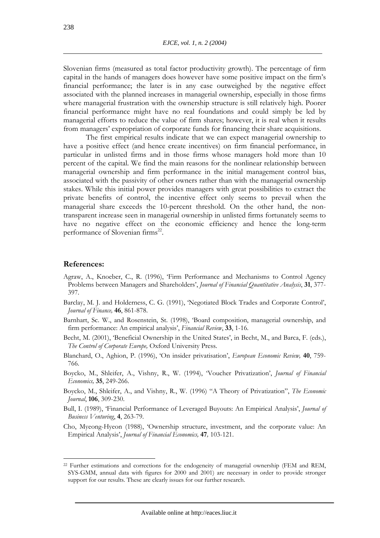Slovenian firms (measured as total factor productivity growth). The percentage of firm capital in the hands of managers does however have some positive impact on the firm's financial performance; the later is in any case outweighed by the negative effect associated with the planned increases in managerial ownership, especially in those firms where managerial frustration with the ownership structure is still relatively high. Poorer financial performance might have no real foundations and could simply be led by managerial efforts to reduce the value of firm shares; however, it is real when it results from managers' expropriation of corporate funds for financing their share acquisitions.

The first empirical results indicate that we can expect managerial ownership to have a positive effect (and hence create incentives) on firm financial performance, in particular in unlisted firms and in those firms whose managers hold more than 10 percent of the capital. We find the main reasons for the nonlinear relationship between managerial ownership and firm performance in the initial management control bias, associated with the passivity of other owners rather than with the managerial ownership stakes. While this initial power provides managers with great possibilities to extract the private benefits of control, the incentive effect only seems to prevail when the managerial share exceeds the 10-percent threshold. On the other hand, the nontransparent increase seen in managerial ownership in unlisted firms fortunately seems to have no negative effect on the economic efficiency and hence the long-term performance of Slovenian firms<sup>22</sup>.

#### **References:**

- Agraw, A., Knoeber, C., R. (1996), 'Firm Performance and Mechanisms to Control Agency Problems between Managers and Shareholders', *Journal of Financial Quantitative Analysis*, **31**, 377- 397.
- Barclay, M. J. and Holderness, C. G. (1991), 'Negotiated Block Trades and Corporate Control', *Journal of Finance,* **46**, 861-878.
- Barnhart, Sc. W., and Rosenstein, St. (1998), 'Board composition, managerial ownership, and firm performance: An empirical analysis', *Financial Review*, **33**, 1-16.
- Becht, M. (2001), 'Beneficial Ownership in the United States', in Becht, M., and Barca, F. (eds.), *The Control of Corporate Europe,* Oxford University Press.
- Blanchard, O., Aghion, P. (1996), 'On insider privatisation', *European Economic Review,* **40**, 759- 766.
- Boycko, M., Shleifer, A., Vishny, R., W. (1994), 'Voucher Privatization', *Journal of Financial Economics,* **35**, 249-266.
- Boycko, M., Shleifer, A., and Vishny, R., W. (1996) "A Theory of Privatization", *The Economic Journal*, **106**, 309-230.
- Bull, I. (1989), 'Financial Performance of Leveraged Buyouts: An Empirical Analysis', *Journal of Business Venturing*, **4**, 263-79.
- Cho, Myeong-Hyeon (1988), 'Ownership structure, investment, and the corporate value: An Empirical Analysis', *Journal of Financial Economics,* **47***,* 103-121.

<sup>&</sup>lt;sup>22</sup> Further estimations and corrections for the endogeneity of managerial ownership (FEM and REM, SYS-GMM, annual data with figures for 2000 and 2001) are necessary in order to provide stronger support for our results. These are clearly issues for our further research.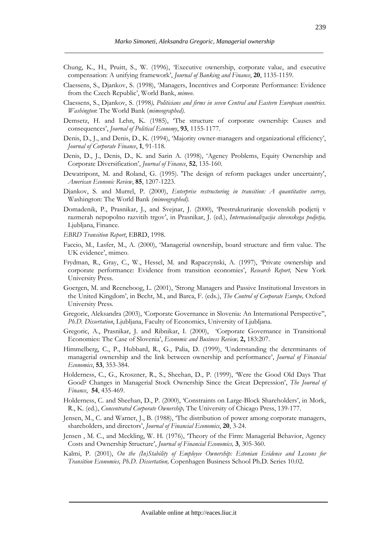- Chung, K., H., Pruitt, S., W. (1996), 'Executive ownership, corporate value, and executive compensation: A unifying framework', *Journal of Banking and Finance*, **20**, 1135-1159.
- Claessens, S., Djankov, S. (1998), 'Managers, Incentives and Corporate Performance: Evidence from the Czech Republic', World Bank, *mimeo*.
- Claessens, S., Djankov, S. (1998*), Politicians and firms in seven Central and Eastern European countries. Washington*: The World Bank (*mimeographed).*
- Demsetz, H. and Lehn, K. (1985), 'The structure of corporate ownership: Causes and consequences', *Journal of Political Economy*, **93**, 1155-1177.
- Denis, D., J., and Denis, D., K. (1994), 'Majority owner-managers and organizational efficiency', *Journal of Corporate Finance*, **1**, 91-118.
- Denis, D., J., Denis, D., K. and Sarin A. (1998), 'Agency Problems, Equity Ownership and Corporate Diversification', *Journal of Finance*, **52**, 135-160.
- Dewatripont, M. and Roland, G. (1995). 'The design of reform packages under uncertainty', *American Econonic Review*, **85**, 1207-1223.
- Djankov, S. and Murrel, P. (2000), *Enterprise restructuring in transition: A quantitative survey,* Washington: The World Bank *(mimeographed).*
- Domadenik, P., Prasnikar, J., and Svejnar, J. (2000), 'Prestrukturiranje slovenskih podjetij v razmerah nepopolno razvitih trgov', in Prasnikar, J. (ed.), *Internacionalizacija slovenskega podjetja,*  Ljubljana, Finance.
- *EBRD Transition Report*, EBRD, 1998.
- Faccio, M., Lasfer, M., A. (2000), 'Managerial ownership, board structure and firm value. The UK evidence', mimeo.
- Frydman, R., Gray, C., W., Hessel, M. and Rapaczynski, A. (1997), 'Private ownership and corporate performance: Evidence from transition economies', *Research Report,* New York University Press.
- Goergen, M. and Reeneboog, L. (2001), 'Strong Managers and Passive Institutional Investors in the United Kingdom', in Becht, M., and Barca, F. (eds.), *The Control of Corporate Europe,* Oxford University Press.
- Gregoric, Aleksandra (2003), 'Corporate Governance in Slovenia: An International Perspective'', *Ph.D. Dissertation*, Ljubljana, Faculty of Economics, University of Ljubljana.
- Gregoric, A., Prasnikar, J. and Ribnikar, I. (2000), 'Corporate Governance in Transitional Economies: The Case of Slovenia', *Economic and Business Review,* **2,** 183:207.
- Himmelberg, C., P., Hubbard, R., G., Palia, D. (1999), 'Understanding the determinants of managerial ownership and the link between ownership and performance', *Journal of Financial Economics*, **53**, 353-384.
- Holderness, C., G., Kroszner, R., S., Sheehan, D., P. (1999), 'Were the Good Old Days That Good? Changes in Managerial Stock Ownership Since the Great Depression', *The Journal of Finance*, **54**, 435-469.
- Holderness, C. and Sheehan, D., P. (2000), 'Constraints on Large-Block Shareholders', in Mork, R., K. (ed.), *Concentrated Corporate Ownership,* The University of Chicago Press, 139-177.
- Jensen, M., C. and Warner, J., B. (1988), 'The distribution of power among corporate managers, shareholders, and directors', *Journal of Financial Economics*, **20**, 3-24.
- Jensen , M. C., and Meckling, W. H. (1976), 'Theory of the Firm: Managerial Behavior, Agency Costs and Ownership Structure', *Journal of Financial Economics,* **3**, 305-360.
- Kalmi, P. (2001), *On the (In)Stability of Employee Ownership: Estonian Evidence and Lessons for Transition Economies, Ph.D. Dissertation,* Copenhagen Business School Ph.D. Series 10.02.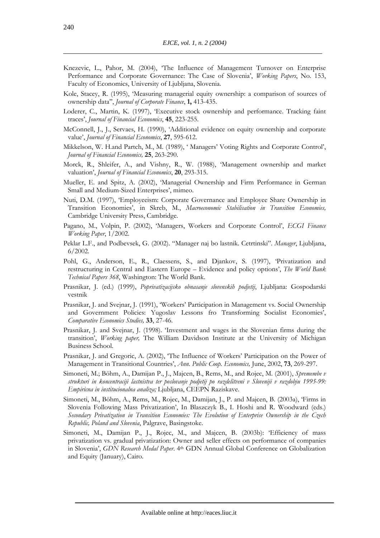- Knezevic, L., Pahor, M. (2004), 'The Influence of Management Turnover on Enterprise Performance and Corporate Governance: The Case of Slovenia', *Working Papers*, No. 153, Faculty of Economics, University of Ljubljana, Slovenia.
- Kole, Stacey, R. (1995), 'Measuring managerial equity ownership: a comparison of sources of ownership data'', *Journal of Corporate Finance*, **1,** 413-435.
- Loderer, C., Martin, K. (1997), 'Executive stock ownership and performance. Tracking faint traces', *Journal of Financial Economics*, **45**, 223-255.
- McConnell, J., J., Servaes, H. (1990), 'Additional evidence on equity ownership and corporate value', *Journal of Financial Economics*, **27**, 595-612.
- Mikkelson, W. H.and Partch, M., M. (1989), ' Managers' Voting Rights and Corporate Control', *Journal of Financial Economics,* **25**, 263-290.
- Morck, R., Shleifer, A., and Vishny, R., W. (1988), 'Management ownership and market valuation', *Journal of Financial Economics*, **20**, 293-315.
- Mueller, E. and Spitz, A. (2002), 'Managerial Ownership and Firm Performance in German Small and Medium-Sized Enterprises', mimeo.
- Nuti, D.M. (1997), 'Employeeism: Corporate Governance and Employee Share Ownership in Transition Economies', in Skreb, M., *Macroeconomic Stabilisation in Transition Economies,*  Cambridge University Press, Cambridge.
- Pagano, M., Volpin, P. (2002), 'Managers, Workers and Corporate Control', *ECGI Finance Working Paper*, 1/2002.
- Peklar L.F., and Podbevsek, G. (2002). "Manager naj bo lastnik. Cetrtinski". *Manager*, Ljubljana, 6/2002.
- Pohl, G., Anderson, E., R., Claessens, S., and Djankov, S. (1997), 'Privatization and restructuring in Central and Eastern Europe – Evidence and policy options', *The World Bank Technical Papers 368*, Washington: The World Bank.
- Prasnikar, J. (ed.) (1999), *Poprivatizacijsko obnasanje slovenskih podjetij*, Ljubljana: Gospodarski vestnik
- Prasnikar, J. and Svejnar, J. (1991), 'Workers' Participation in Management vs. Social Ownership and Government Policies: Yugoslav Lessons fro Transforming Socialist Economies', *Comparative Economics Studies,* **33**, 27-46.
- Prasnikar, J. and Svejnar, J. (1998). 'Investment and wages in the Slovenian firms during the transition', *Working paper,* The William Davidson Institute at the University of Michigan Business School.
- Prasnikar, J. and Gregoric, A. (2002), 'The Influence of Workers' Participation on the Power of Management in Transitional Countries', *Ann. Public Coop. Economics,* June, 2002, **73**, 269-297.
- Simoneti, M.; Böhm, A., Damijan P., J., Majcen, B., Rems, M., and Rojec, M. (2001), *Spremembe v strukturi in koncentraciji lastnistva ter poslovanje podjetij po razdelitveni v Sloveniji v razdobju 1995-99: Empiricna in institucionalna analiza;* Ljubljana, CEEPN Raziskave.
- Simoneti, M., Böhm, A., Rems, M., Rojec, M., Damijan, J., P. and Majcen, B. (2003a), 'Firms in Slovenia Following Mass Privatization', In Blaszczyk B., I. Hoshi and R. Woodward (eds.) *Secondary Privatization in Transition Economies: The Evolution of Enterprise Ownership in the Czech Republic, Poland and Slovenia*, Palgrave, Basingstoke.
- Simoneti, M., Damijan P., J., Rojec, M., and Majcen, B. (2003b): 'Efficiency of mass privatization vs. gradual privatization: Owner and seller effects on performance of companies in Slovenia', *GDN Research Medal Paper*. 4th GDN Annual Global Conference on Globalization and Equity (January), Cairo.